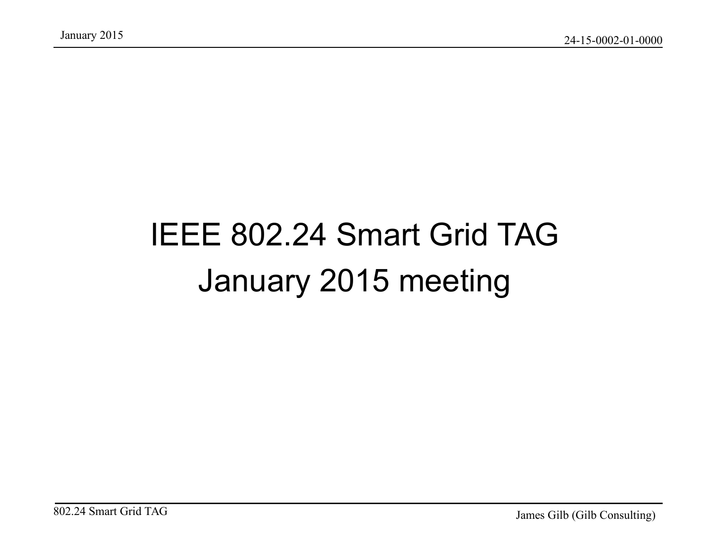## IEEE 802.24 Smart Grid TAG January 2015 meeting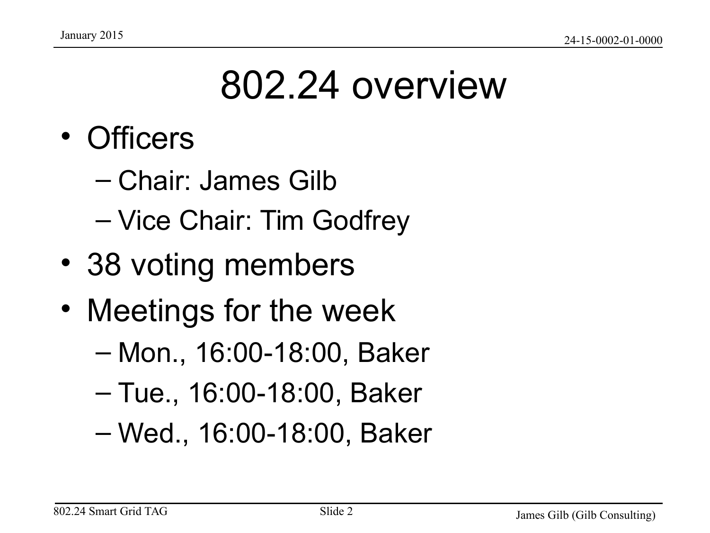## 802.24 overview

- Officers
	- Chair: James Gilb
	- Vice Chair: Tim Godfrey
- 38 voting members
- Meetings for the week
	- Mon., 16:00-18:00, Baker
	- Tue., 16:00-18:00, Baker
	- Wed., 16:00-18:00, Baker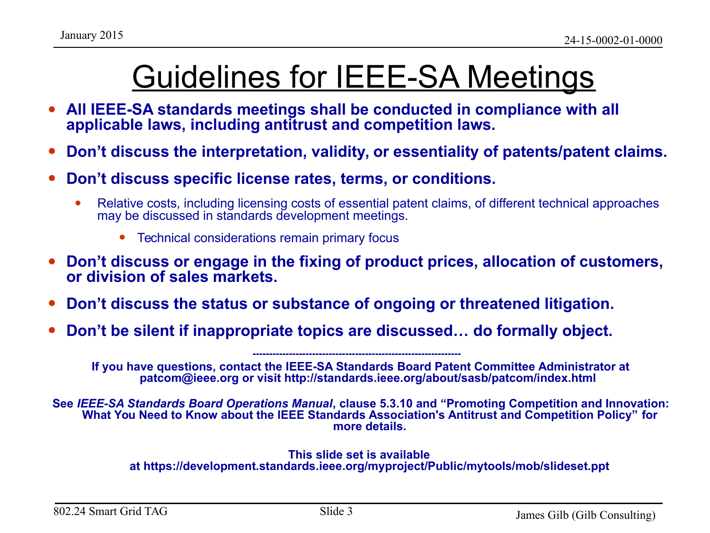### Guidelines for IEEE-SA Meetings

- All IEEE-SA standards meetings shall be conducted in compliance with all **applicable laws, including antitrust and competition laws.**
- **Don't discuss the interpretation, validity, or essentiality of patents/patent claims.**
- **Don't discuss specific license rates, terms, or conditions.**
	- Relative costs, including licensing costs of essential patent claims, of different technical approaches may be discussed in standards development meetings.
		- Technical considerations remain primary focus
- **Don't discuss or engage in the fixing of product prices, allocation of customers, or division of sales markets.**
- **Don't discuss the status or substance of ongoing or threatened litigation.**
- **Don't be silent if inappropriate topics are discussed… do formally object.**

**If you have questions, contact the IEEE-SA Standards Board Patent Committee Administrator at patcom@ieee.org or visit http://standards.ieee.org/about/sasb/patcom/index.html** 

**---------------------------------------------------------------** 

**See** *IEEE-SA Standards Board Operations Manual***, clause 5.3.10 and "Promoting Competition and Innovation: What You Need to Know about the IEEE Standards Association's Antitrust and Competition Policy" for more details.**

#### **This slide set is available at https://development.standards.ieee.org/myproject/Public/mytools/mob/slideset.ppt**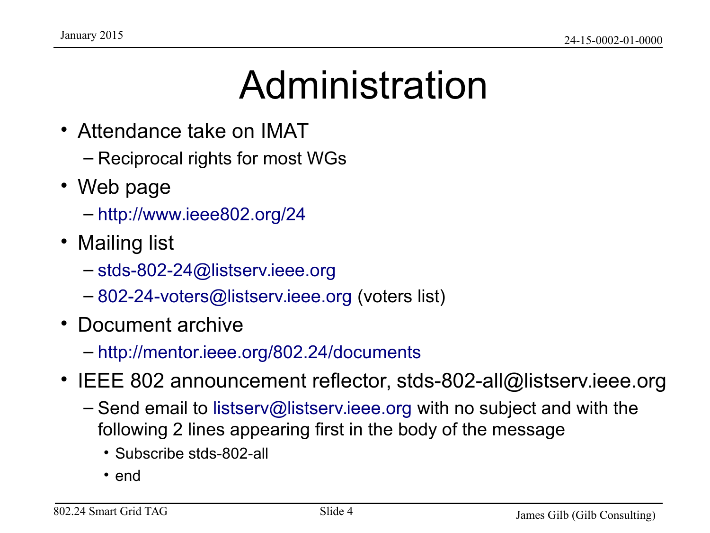## Administration

- Attendance take on IMAT
	- Reciprocal rights for most WGs
- Web page
	- <http://www.ieee802.org/24>
- Mailing list
	- [stds-802-24@listserv.ieee.org](mailto:stds-802-24@listserv.ieee.org)
	- [802-24-voters@listserv.ieee.org](mailto:802-24-voters@listserv.ieee.org) (voters list)
- Document archive
	- <http://mentor.ieee.org/802.24/documents>
- IEEE 802 announcement reflector, stds-802-all@listserv.ieee.org
	- Send email to [listserv@listserv.ieee.org](mailto:listserv@listserv.ieee.org) with no subject and with the following 2 lines appearing first in the body of the message
		- Subscribe stds-802-all
		- end